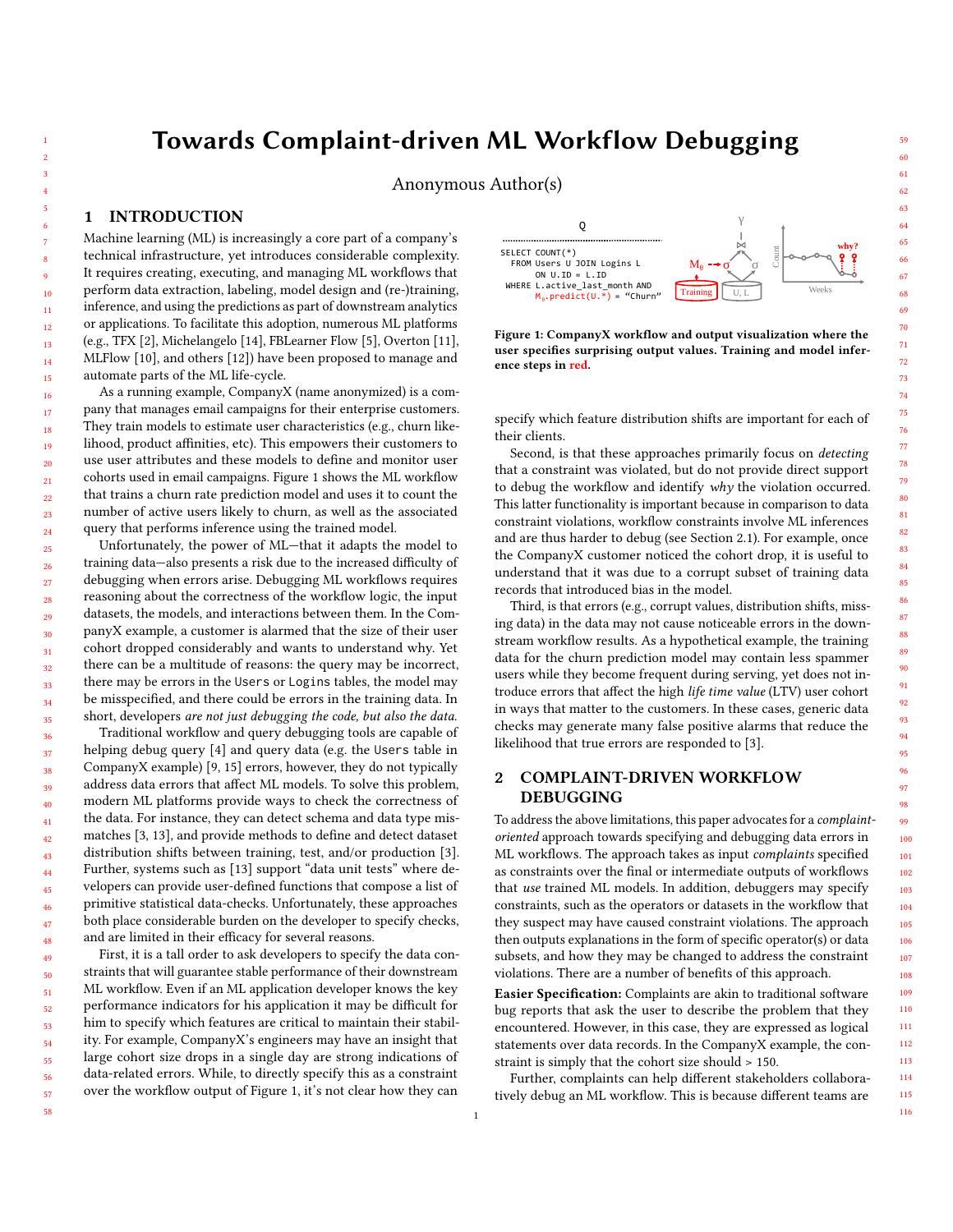# Towards Complaint-driven ML Workflow Debugging

Anonymous Author(s)

## 1 INTRODUCTION

Machine learning (ML) is increasingly a core part of a company's technical infrastructure, yet introduces considerable complexity. It requires creating, executing, and managing ML workflows that perform data extraction, labeling, model design and (re-)training, inference, and using the predictions as part of downstream analytics or applications. To facilitate this adoption, numerous ML platforms (e.g., TFX [\[2\]](#page-2-0), Michelangelo [\[14\]](#page-2-1), FBLearner Flow [\[5\]](#page-2-2), Overton [\[11\]](#page-2-3), MLFlow [\[10\]](#page-2-4), and others [\[12\]](#page-2-5)) have been proposed to manage and automate parts of the ML life-cycle.

As a running example, CompanyX (name anonymized) is a company that manages email campaigns for their enterprise customers. They train models to estimate user characteristics (e.g., churn likelihood, product affinities, etc). This empowers their customers to use user attributes and these models to define and monitor user cohorts used in email campaigns. Figure [1](#page-0-0) shows the ML workflow that trains a churn rate prediction model and uses it to count the number of active users likely to churn, as well as the associated query that performs inference using the trained model.

Unfortunately, the power of ML—that it adapts the model to training data—also presents a risk due to the increased difficulty of debugging when errors arise. Debugging ML workflows requires reasoning about the correctness of the workflow logic, the input datasets, the models, and interactions between them. In the CompanyX example, a customer is alarmed that the size of their user cohort dropped considerably and wants to understand why. Yet there can be a multitude of reasons: the query may be incorrect, there may be errors in the Users or Logins tables, the model may be misspecified, and there could be errors in the training data. In short, developers are not just debugging the code, but also the data.

36 37 38 39 40 41 42 43 44 45 46 47 48 Traditional workflow and query debugging tools are capable of helping debug query [\[4\]](#page-2-6) and query data (e.g. the Users table in CompanyX example) [\[9,](#page-2-7) [15\]](#page-2-8) errors, however, they do not typically address data errors that affect ML models. To solve this problem, modern ML platforms provide ways to check the correctness of the data. For instance, they can detect schema and data type mismatches [\[3,](#page-2-9) [13\]](#page-2-10), and provide methods to define and detect dataset distribution shifts between training, test, and/or production [\[3\]](#page-2-9). Further, systems such as [\[13\]](#page-2-10) support "data unit tests" where developers can provide user-defined functions that compose a list of primitive statistical data-checks. Unfortunately, these approaches both place considerable burden on the developer to specify checks, and are limited in their efficacy for several reasons.

First, it is a tall order to ask developers to specify the data constraints that will guarantee stable performance of their downstream ML workflow. Even if an ML application developer knows the key performance indicators for his application it may be difficult for him to specify which features are critical to maintain their stability. For example, CompanyX's engineers may have an insight that large cohort size drops in a single day are strong indications of data-related errors. While, to directly specify this as a constraint over the workflow output of Figure [1,](#page-0-0) it's not clear how they can

<span id="page-0-0"></span>

Figure 1: CompanyX workflow and output visualization where the user specifies surprising output values. Training and model inference steps in red.

specify which feature distribution shifts are important for each of their clients.

Second, is that these approaches primarily focus on detecting that a constraint was violated, but do not provide direct support to debug the workflow and identify why the violation occurred. This latter functionality is important because in comparison to data constraint violations, workflow constraints involve ML inferences and are thus harder to debug (see Section [2.1\)](#page-1-0). For example, once the CompanyX customer noticed the cohort drop, it is useful to understand that it was due to a corrupt subset of training data records that introduced bias in the model.

Third, is that errors (e.g., corrupt values, distribution shifts, missing data) in the data may not cause noticeable errors in the downstream workflow results. As a hypothetical example, the training data for the churn prediction model may contain less spammer users while they become frequent during serving, yet does not introduce errors that affect the high life time value (LTV) user cohort in ways that matter to the customers. In these cases, generic data checks may generate many false positive alarms that reduce the likelihood that true errors are responded to [\[3\]](#page-2-9).

# 2 COMPLAINT-DRIVEN WORKFLOW DEBUGGING

To address the above limitations, this paper advocates for a complaintoriented approach towards specifying and debugging data errors in ML workflows. The approach takes as input complaints specified as constraints over the final or intermediate outputs of workflows that use trained ML models. In addition, debuggers may specify constraints, such as the operators or datasets in the workflow that they suspect may have caused constraint violations. The approach then outputs explanations in the form of specific operator(s) or data subsets, and how they may be changed to address the constraint violations. There are a number of benefits of this approach.

Easier Specification: Complaints are akin to traditional software bug reports that ask the user to describe the problem that they encountered. However, in this case, they are expressed as logical statements over data records. In the CompanyX example, the constraint is simply that the cohort size should > 150.

Further, complaints can help different stakeholders collaboratively debug an ML workflow. This is because different teams are

114 115 116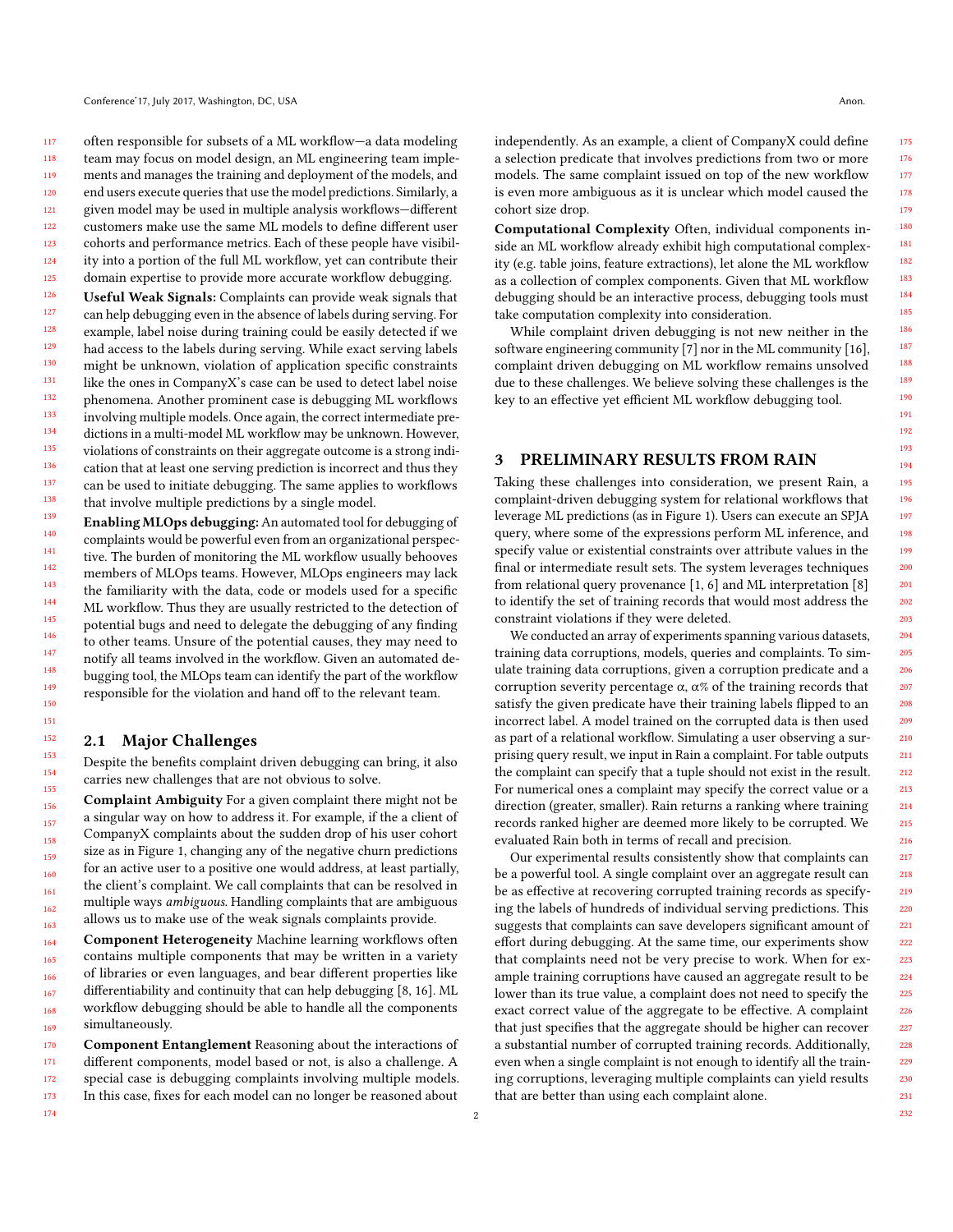117 118 119 120 121 122 123 124 125 often responsible for subsets of a ML workflow—a data modeling team may focus on model design, an ML engineering team implements and manages the training and deployment of the models, and end users execute queries that use the model predictions. Similarly, a given model may be used in multiple analysis workflows—different customers make use the same ML models to define different user cohorts and performance metrics. Each of these people have visibility into a portion of the full ML workflow, yet can contribute their domain expertise to provide more accurate workflow debugging.

126 127 128 129 130 131 132 133 134 135 136 137 138 Useful Weak Signals: Complaints can provide weak signals that can help debugging even in the absence of labels during serving. For example, label noise during training could be easily detected if we had access to the labels during serving. While exact serving labels might be unknown, violation of application specific constraints like the ones in CompanyX's case can be used to detect label noise phenomena. Another prominent case is debugging ML workflows involving multiple models. Once again, the correct intermediate predictions in a multi-model ML workflow may be unknown. However, violations of constraints on their aggregate outcome is a strong indication that at least one serving prediction is incorrect and thus they can be used to initiate debugging. The same applies to workflows that involve multiple predictions by a single model.

139 140 141 142 143 144 145 146 147 148 149 150 Enabling MLOps debugging: An automated tool for debugging of complaints would be powerful even from an organizational perspective. The burden of monitoring the ML workflow usually behooves members of MLOps teams. However, MLOps engineers may lack the familiarity with the data, code or models used for a specific ML workflow. Thus they are usually restricted to the detection of potential bugs and need to delegate the debugging of any finding to other teams. Unsure of the potential causes, they may need to notify all teams involved in the workflow. Given an automated debugging tool, the MLOps team can identify the part of the workflow responsible for the violation and hand off to the relevant team.

#### <span id="page-1-0"></span>2.1 Major Challenges

174

Despite the benefits complaint driven debugging can bring, it also carries new challenges that are not obvious to solve.

Complaint Ambiguity For a given complaint there might not be a singular way on how to address it. For example, if the a client of CompanyX complaints about the sudden drop of his user cohort size as in Figure [1,](#page-0-0) changing any of the negative churn predictions for an active user to a positive one would address, at least partially, the client's complaint. We call complaints that can be resolved in multiple ways ambiguous. Handling complaints that are ambiguous allows us to make use of the weak signals complaints provide.

164 165 166 167 168 169 Component Heterogeneity Machine learning workflows often contains multiple components that may be written in a variety of libraries or even languages, and bear different properties like differentiability and continuity that can help debugging [\[8,](#page-2-11) [16\]](#page-2-12). ML workflow debugging should be able to handle all the components simultaneously.

170 171 172 173 Component Entanglement Reasoning about the interactions of different components, model based or not, is also a challenge. A special case is debugging complaints involving multiple models. In this case, fixes for each model can no longer be reasoned about

independently. As an example, a client of CompanyX could define a selection predicate that involves predictions from two or more models. The same complaint issued on top of the new workflow is even more ambiguous as it is unclear which model caused the cohort size drop.

Computational Complexity Often, individual components inside an ML workflow already exhibit high computational complexity (e.g. table joins, feature extractions), let alone the ML workflow as a collection of complex components. Given that ML workflow debugging should be an interactive process, debugging tools must take computation complexity into consideration.

While complaint driven debugging is not new neither in the software engineering community [\[7\]](#page-2-13) nor in the ML community [\[16\]](#page-2-12), complaint driven debugging on ML workflow remains unsolved due to these challenges. We believe solving these challenges is the key to an effective yet efficient ML workflow debugging tool.

### 3 PRELIMINARY RESULTS FROM RAIN

Taking these challenges into consideration, we present Rain, a complaint-driven debugging system for relational workflows that leverage ML predictions (as in Figure [1\)](#page-0-0). Users can execute an SPJA query, where some of the expressions perform ML inference, and specify value or existential constraints over attribute values in the final or intermediate result sets. The system leverages techniques from relational query provenance [\[1,](#page-2-14) [6\]](#page-2-15) and ML interpretation [\[8\]](#page-2-11) to identify the set of training records that would most address the constraint violations if they were deleted.

We conducted an array of experiments spanning various datasets, training data corruptions, models, queries and complaints. To simulate training data corruptions, given a corruption predicate and a corruption severity percentage α, α% of the training records that satisfy the given predicate have their training labels flipped to an incorrect label. A model trained on the corrupted data is then used as part of a relational workflow. Simulating a user observing a surprising query result, we input in Rain a complaint. For table outputs the complaint can specify that a tuple should not exist in the result. For numerical ones a complaint may specify the correct value or a direction (greater, smaller). Rain returns a ranking where training records ranked higher are deemed more likely to be corrupted. We evaluated Rain both in terms of recall and precision.

Our experimental results consistently show that complaints can be a powerful tool. A single complaint over an aggregate result can be as effective at recovering corrupted training records as specifying the labels of hundreds of individual serving predictions. This suggests that complaints can save developers significant amount of effort during debugging. At the same time, our experiments show that complaints need not be very precise to work. When for example training corruptions have caused an aggregate result to be lower than its true value, a complaint does not need to specify the exact correct value of the aggregate to be effective. A complaint that just specifies that the aggregate should be higher can recover a substantial number of corrupted training records. Additionally, even when a single complaint is not enough to identify all the training corruptions, leveraging multiple complaints can yield results that are better than using each complaint alone.

2